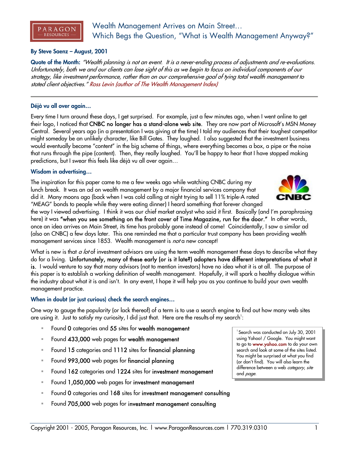

# Wealth Management Arrives on Main Street… Which Begs the Question, "What is Wealth Management Anyway?"

# **By Steve Saenz – August, 2001**

**Quote of the Month:** "Wealth planning is not an event. It is a never-ending process of adjustments and re-evaluations. Unfortunately, both we and our clients can lose sight of this as we begin to focus on individual components of our strategy, like investment performance, rather than on our comprehensive goal of tying total wealth management to stated client objectives." Ross Levin (author of The Wealth Management Index)

#### **Déjà vu all over again…**

Every time I turn around these days, I get surprised. For example, just a few minutes ago, when I went online to get their logo, I noticed that CNBC no longer has a stand-alone web site. They are now part of Microsoft's MSN Money Central. Several years ago (in a presentation I was giving at the time) I told my audiences that their toughest competitor might someday be an unlikely character, like Bill Gates. They laughed. I also suggested that the investment business would eventually become "content" in the big scheme of things, where everything becomes a box, a pipe or the noise that runs through the pipe (content). Then, they really laughed. You'll be happy to hear that I have stopped making predictions, but I swear this feels like déjà vu all over again…

#### **Wisdom in advertising…**

The inspiration for this paper came to me a few weeks ago while watching CNBC during my lunch break. It was an ad on wealth management by a major financial services company that did it. Many moons ago (back when I was cold calling at night trying to sell 11% triple-A rated "MEAG" bonds to people while they were eating dinner) I heard something that forever changed



What is new is that a lot of investment advisors are using the term wealth management these days to describe what they do for a living. Unfortunately, many of these early (or is it late?) adopters have different interpretations of what it is. I would venture to say that many advisors (not to mention investors) have no idea what it is at all. The purpose of this paper is to establish a working definition of wealth management. Hopefully, it will spark a healthy dialogue within the industry about what it is and isn't. In any event, I hope it will help you as you continue to build your own wealth management practice.

# **When in doubt (or just curious) check the search engines…**

One way to gauge the popularity (or lack thereof) of a term is to use a search engine to find out how many web sites are using it. Just to satisfy my curiosity, I did just that. Here are the results of my search $^! \colon$ 

- Found 0 categories and 55 sites for wealth management
- Found 433,000 web pages for wealth management
- Found 15 categories and 1112 sites for financial planning
- Found 993,000 web pages for financial planning
- Found 162 categories and 1224 sites for investment management
- Found 1,050,000 web pages for investment management
- Found 0 categories and 168 sites for investment management consulting
- Found 705,000 web pages for investment management consulting

<sup>1</sup> Search was conducted on July 30, 2001 using Yahoo! / Google. You might want to go to www.yahoo.com to do your own search and look at some of the sites listed. You might be surprised at what you find (or don't find). You will also learn the difference between a web category, site and *page*.



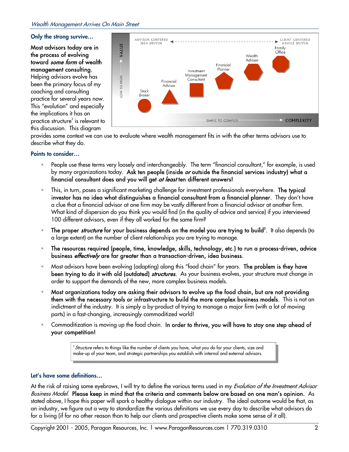### **Only the strong survive…**

Most advisors today are in the process of evolving toward some form of wealth management consulting. Helping advisors evolve has been the primary focus of my coaching and consulting practice for several years now. This "evolution" and especially the implications it has on practice structure $^2$  is relevant to this discussion. This diagram



provides some context we can use to evaluate where wealth management fits in with the other terms advisors use to describe what they do.

# **Points to consider…**

- People use these terms very loosely and interchangeably. The term "financial consultant," for example, is used by many organizations today. Ask ten people (inside or outside the financial services industry) what a financial consultant does and you will get *at least* ten different answers!
- This, in turn, poses a significant marketing challenge for investment professionals everywhere. The typical investor has no idea what distinguishes a financial consultant from a financial planner. They don't have a clue that a financial advisor at one firm may be vastly different from a financial advisor at another firm. What kind of dispersion do you think you would find (in the quality of advice and service) if you interviewed 100 different advisors, even if they all worked for the same firm?
- " The proper *structure* for your business depends on the model you are trying to build<sup>2</sup>. It also depends (to a large extent) on the number of client relationships you are trying to manage.
- The resources required (people, time, knowledge, skills, technology, etc.) to run a process-driven, advice business *effectively* are far greater than a transaction-driven, idea business.
- Most advisors have been evolving (adapting) along this "food chain" for years. The problem is they have **been trying to do it with old (outdated)** *structures***.** As your business evolves, your structure must change in order to support the demands of the new, more complex business models.
- Most organizations today are asking their advisors to evolve up the food chain, but are not providing them with the necessary tools or infrastructure to build the more complex business models. This is not an indictment of the industry. It is simply a by-product of trying to manage a major firm (with a lot of moving parts) in a fast-changing, increasingly commoditized world!
- Commoditization is moving up the food chain. In order to thrive, you will have to stay one step ahead of your competition!

 $2<sup>2</sup>$  Structure refers to things like the number of clients you have, what you do for your clients, size and make-up of your team, and strategic partnerships you establish with internal and external advisors.

# **Let's have some definitions…**

At the risk of raising some eyebrows, I will try to define the various terms used in my *Evolution of the Investment Advisor* Business Model. Please keep in mind that the criteria and comments below are based on one man's opinion. As stated above, I hope this paper will spark a healthy dialogue within our industry. The ideal outcome would be that, as an industry, we figure out a way to standardize the various definitions we use every day to describe what advisors do for a living (if for no other reason than to help our clients and prospective clients make some sense of it all).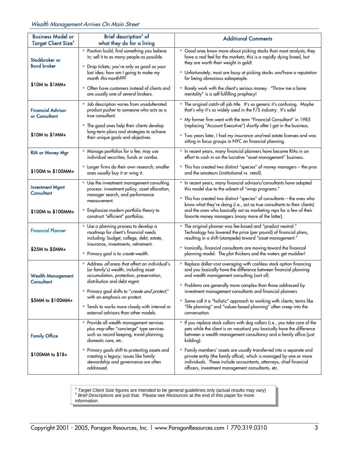| <b>Business Model or</b><br><b>Target Client Size<sup>3</sup></b> | Brief description <sup>4</sup> of<br>what they do for a living                                                                                                                                                                                                                                        | <b>Additional Comments</b>                                                                                                                                                                                                                                                                                                                                                                                                   |  |
|-------------------------------------------------------------------|-------------------------------------------------------------------------------------------------------------------------------------------------------------------------------------------------------------------------------------------------------------------------------------------------------|------------------------------------------------------------------------------------------------------------------------------------------------------------------------------------------------------------------------------------------------------------------------------------------------------------------------------------------------------------------------------------------------------------------------------|--|
| Stockbroker or<br><b>Bond broker</b><br>$$10M to $1MM+$           | Position build; find something you believe<br>in; sell it to as many people as possible.<br>" Drop tickets; you're only as good as your<br>last idea; how am I going to make my<br>month <i>this</i> month???<br>• Often have customers instead of clients and<br>are usually one of several brokers. | " Good ones know more about picking stocks than most analysts; they<br>have a real feel for the markets; this is a rapidly dying breed, but<br>they are worth their weight in gold!<br>Unfortunately, most are lousy at picking stocks and have a reputation<br>for being obnoxious salespeople.<br>Rarely work with the client's serious money. "Throw me a bone<br>mentality" is a self-fulfilling prophecy!               |  |
| <b>Financial Advisor</b><br>or Consultant<br>\$10M to \$1MM+      | <b>Job description varies from unadulterated</b><br>product pusher to someone who acts as a<br>true consultant.<br>" The good ones help their clients develop<br>long-term plans and strategies to achieve<br>their unique goals and objectives.                                                      | " The original catch-all job title. It's so generic it's confusing. Maybe<br>that's why it's so widely used in the F/S industry. It's safe!<br>" My former firm went with the term "Financial Consultant" in 1985<br>(replacing "Account Executive") shortly after I got in the business.<br>" Two years later, I had my insurance and real estate licenses and was<br>sitting in focus groups in NYC on financial planning. |  |
| <b>RIA or Money Mgr</b>                                           | " Manage portfolios for a fee; may use<br>individual securities, funds or combo.                                                                                                                                                                                                                      | In recent years, many financial planners have become RIAs in an<br>effort to cash in on the lucrative "asset management" business.                                                                                                                                                                                                                                                                                           |  |
| \$100M to \$100MM+                                                | Larger firms do their own research; smaller<br>ones usually buy it or wing it.                                                                                                                                                                                                                        | This has created two distinct "species" of money managers - the pros<br>and the amateurs (institutional vs. retail).                                                                                                                                                                                                                                                                                                         |  |
| <b>Investment Mgmt</b><br><b>Consultant</b>                       | Use the investment management consulting<br>process: investment policy, asset allocation,<br>manager search, and performance<br>measurement.                                                                                                                                                          | In recent years, many financial advisors/consultants have adopted<br>this model due to the advent of "wrap programs."<br>" This has created two distinct "species" of consultants - the ones who<br>know what they're doing (i.e., act as true consultants to their clients)                                                                                                                                                 |  |
| \$100M to \$100MM+                                                | <b>Emphasize modern portfolio theory to</b><br>construct "efficient" portfolios.                                                                                                                                                                                                                      | and the ones who basically act as marketing reps for a few of their<br>favorite money managers (many more of the latter).                                                                                                                                                                                                                                                                                                    |  |
| <b>Financial Planner</b>                                          | Use a planning process to develop a<br>roadmap for client's financial needs<br>including: budget, college, debt, estate,<br>insurance, investments, retirement.                                                                                                                                       | " The original planner was fee-based and "product neutral."<br>Technology has lowered the price (per pound) of financial plans,<br>resulting in a shift (stampede) toward "asset management."                                                                                                                                                                                                                                |  |
| $$25M to $5MM+$                                                   | Primary goal is to create wealth.                                                                                                                                                                                                                                                                     | " Ironically, financial consultants are moving toward the financial<br>planning model. The plot thickens and the waters get muddier!                                                                                                                                                                                                                                                                                         |  |
| <b>Wealth Management</b><br>Consultant                            | Address all areas that affect an individual's<br>(or family's) wealth, including asset<br>accumulation, protection, preservation,<br>distribution and debt mgmt.                                                                                                                                      | Replace dollar-cost averaging with cashless stock option financing<br>and you basically have the difference between financial planning<br>and wealth management consulting (sort of).<br>Problems are generally more complex than those addressed by                                                                                                                                                                         |  |
| \$5MM to \$100MM+                                                 | Primary goal shifts to "create and protect,"<br>with an emphasis on protect.<br>■ Tends to works more closely with internal or<br>external advisors than other models.                                                                                                                                | investment management consultants and financial planners<br>Some call it a "holistic" approach to working with clients; terms like<br>ш<br>"life planning" and "values-based planning" often creep into the<br>conversation.                                                                                                                                                                                                 |  |
| <b>Family Office</b>                                              | Provide all wealth management services<br>plus may offer "concierge" type services<br>such as record keeping, travel planning,<br>domestic care, etc.                                                                                                                                                 | If you replace stock collars with dog collars (i.e., you take care of the<br>pets while the client is on vacation) you basically have the difference<br>between a wealth management consultancy and a family office (just<br>kidding).                                                                                                                                                                                       |  |
| $$100MM$ to $$1B+$                                                | Primary goals shift to protecting assets and<br>щ<br>creating a legacy; issues like family<br>stewardship and governance are often<br>addressed.                                                                                                                                                      | " Family members' assets are usually transferred into a separate and<br>private entity (the family office), which is managed by one or more<br>individuals. These include accountants, attorneys, chief financial<br>officers, investment management consultants, etc.                                                                                                                                                       |  |

<sup>3</sup> *Target Client Size* figures are intended to be general guidelines only (actual results may vary) <sup>4</sup> *Brief Descriptions* are just that. Please see *Resources* at the end of this paper for more information.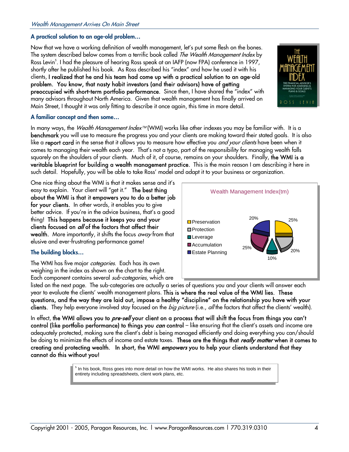# **A practical solution to an age-old problem…**

Now that we have a working definition of wealth management, let's put some flesh on the bones. The system described below comes from a terrific book called *The Wealth Management Index* by Ross Levin<sup>s</sup>. I had the pleasure of hearing Ross speak at an IAFP (now FPA) conference in 1997, shortly after he published his book. As Ross described his "index" and how he used it with his clients, I realized that he and his team had come up with a practical solution to an age-old problem. You know, that nasty habit investors (and their advisors) have of getting preoccupied with short-term portfolio performance. Since then, I have shared the "index" with many advisors throughout North America. Given that wealth management has finally arrived on Main Street, I thought it was only fitting to describe it once again, this time in more detail.

#### **A familiar concept and then some…**

In many ways, the Wealth Management Index™ (WMI) works like other indexes you may be familiar with. It is a benchmark you will use to measure the progress you and your clients are making toward their stated goals. It is also like a **report card** in the sense that it allows you to measure how effective you *and your clients* have been when it comes to managing their wealth each year. That's not a typo, part of the responsibility for managing wealth falls squarely on the shoulders of your clients. Much of it, of course, remains on your shoulders. Finally, the WMI is a veritable blueprint for building a wealth management practice. This is the main reason I am describing it here in such detail. Hopefully, you will be able to take Ross' model and adapt it to your business or organization.

One nice thing about the WMI is that it makes sense and it's easy to explain. Your client will "get it." The best thing about the WMI is that it empowers you to do a better job for your clients. In other words, it enables you to give better advice. If you're in the advice business, that's a good thing! This happens because it keeps you and your clients focused on *all* of the factors that affect their wealth. More importantly, it shifts the focus *away* from that elusive and ever-frustrating performance game!

# **The building blocks…**

The WMI has five major *categories*. Each has its own weighing in the index as shown on the chart to the right. Each component contains several *sub-categories*, which are



listed on the next page. The sub-categories are actually a series of questions you and your clients will answer each year to evaluate the clients' wealth management plans. This is where the real value of the WMI lies. These questions, and the way they are laid out, impose a healthy "discipline" on the relationship you have with your clients. They help everyone involved stay focused on the *big picture* (i.e., all the factors that affect the clients' wealth).

In effect, the WMI allows you to *pre-sell* your client on a process that will shift the focus from things you can't control (like portfolio performance) to things you *can* control – like ensuring that the client's assets and income are adequately protected, making sure the client's debt is being managed efficiently and doing everything you can/should be doing to minimize the effects of income and estate taxes. These are the things that *really matter* when it comes to creating and protecting wealth. In short, the WMI *empowers* you to help your clients understand that they cannot do this without you!

> <sup>5</sup> In his book, Ross goes into more detail on how the WMI works. He also shares his tools in their entirety including spreadsheets, client work plans, etc.

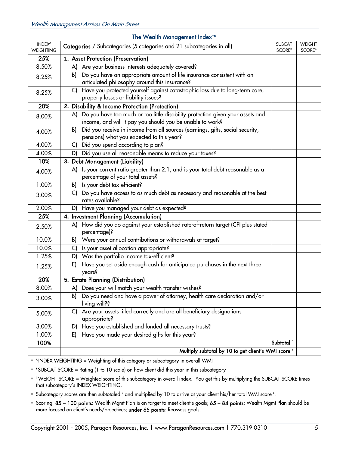| The Wealth Management Index™                                                                         |                                                                                                                                                |                       |                                           |  |  |
|------------------------------------------------------------------------------------------------------|------------------------------------------------------------------------------------------------------------------------------------------------|-----------------------|-------------------------------------------|--|--|
| INDEX <sup>4</sup><br><b>WEIGHTING</b>                                                               | Categories / Subcategories (5 categories and 21 subcategories in all)                                                                          |                       | <b>WEIGHT</b><br><b>SCORE<sup>c</sup></b> |  |  |
| 25%                                                                                                  | 1. Asset Protection (Preservation)                                                                                                             |                       |                                           |  |  |
| 8.50%                                                                                                | Are your business interests adequately covered?<br>A)                                                                                          |                       |                                           |  |  |
| 8.25%                                                                                                | Do you have an appropriate amount of life insurance consistent with an<br>B)<br>articulated philosophy around this insurance?                  |                       |                                           |  |  |
| 8.25%                                                                                                | Have you protected yourself against catastrophic loss due to long-term care,<br>C)<br>property losses or liability issues?                     |                       |                                           |  |  |
| 20%                                                                                                  | 2. Disability & Income Protection (Protection)                                                                                                 |                       |                                           |  |  |
| 8.00%                                                                                                | A) Do you have too much or too little disability protection given your assets and<br>income, and will it pay you should you be unable to work? |                       |                                           |  |  |
| 4.00%                                                                                                | Did you receive in income from all sources (earnings, gifts, social security,<br>B)<br>pensions) what you expected to this year?               |                       |                                           |  |  |
| 4.00%                                                                                                | Did you spend according to plan?<br>$\mathsf{C}$                                                                                               |                       |                                           |  |  |
| 4.00%                                                                                                | D) Did you use all reasonable means to reduce your taxes?                                                                                      |                       |                                           |  |  |
| 10%                                                                                                  | 3. Debt Management (Liability)                                                                                                                 |                       |                                           |  |  |
| 4.00%                                                                                                | Is your current ratio greater than 2:1, and is your total debt reasonable as a<br>A)<br>percentage of your total assets?                       |                       |                                           |  |  |
| 1.00%                                                                                                | Is your debt tax-efficient?<br>B)                                                                                                              |                       |                                           |  |  |
| 3.00%                                                                                                | Do you have access to as much debt as necessary and reasonable at the best<br>C)<br>rates available?                                           |                       |                                           |  |  |
| 2.00%                                                                                                | D) Have you managed your debt as expected?                                                                                                     |                       |                                           |  |  |
| 25%                                                                                                  | 4. Investment Planning (Accumulation)                                                                                                          |                       |                                           |  |  |
| 2.50%                                                                                                | How did you do against your established rate-of-return target (CPI plus stated<br>A)<br>percentage)?                                           |                       |                                           |  |  |
| 10.0%                                                                                                | Were your annual contributions or withdrawals at target?<br>B)                                                                                 |                       |                                           |  |  |
| 10.0%                                                                                                | Is your asset allocation appropriate?<br>C)                                                                                                    |                       |                                           |  |  |
| 1.25%                                                                                                | D) Was the portfolio income tax-efficient?                                                                                                     |                       |                                           |  |  |
| 1.25%                                                                                                | Have you set aside enough cash for anticipated purchases in the next three<br>E)<br>years?                                                     |                       |                                           |  |  |
| 20%                                                                                                  | 5. Estate Planning (Distribution)                                                                                                              |                       |                                           |  |  |
| 8.00%                                                                                                | A) Does your will match your wealth transfer wishes?                                                                                           |                       |                                           |  |  |
| 3.00%                                                                                                | Do you need and have a power of attorney, health care declaration and/or<br>B).<br>living will??                                               |                       |                                           |  |  |
| 5.00%                                                                                                | Are your assets titled correctly and are all beneficiary designations<br>C)<br>appropriate?                                                    |                       |                                           |  |  |
| 3.00%                                                                                                | D) Have you established and funded all necessary trusts?                                                                                       |                       |                                           |  |  |
| 1.00%                                                                                                | Have you made your desired gifts for this year?<br>E)                                                                                          |                       |                                           |  |  |
| 100%                                                                                                 |                                                                                                                                                | Subtotal <sup>p</sup> |                                           |  |  |
| Multiply subtotal by 10 to get client's WMI score E                                                  |                                                                                                                                                |                       |                                           |  |  |
| <sup>•</sup> <sup>A</sup> INDEX WEIGHTING = Weighting of this category or subcategory in overall WMI |                                                                                                                                                |                       |                                           |  |  |

B <sup>B</sup> SUBCAT SCORE = Rating (1 to 10 scale) on how client did this year in this subcategory

■ CWEIGHT SCORE = Weighted score of this subcategory in overall index. You get this by multiplying the SUBCAT SCORE times that subcategory's INDEX WEIGHTING.

- = Subcategory scores are then subtotaled <sup>p</sup> and multiplied by 10 to arrive at your client his/her total WMI score <sup>E</sup>.
- Scoring: 85 100 points: Wealth Mgmt Plan is on target to meet client's goals; 65 84 points: Wealth Mgmt Plan should be more focused on client's needs/objectives; under 65 points: Reassess goals.